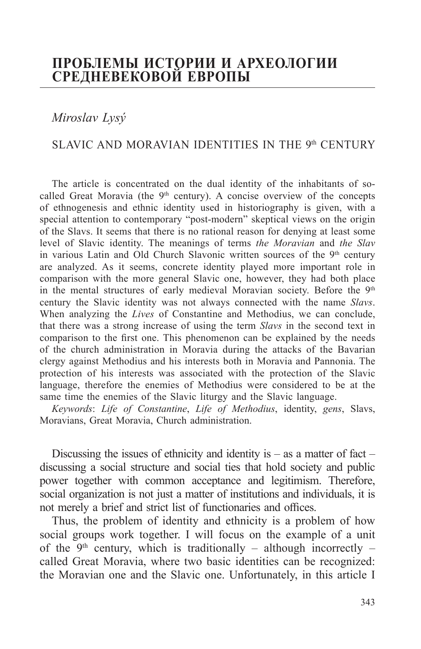## **ПРОБЛЕМЫ ИСТОРИИ И АРХЕОЛОГИИ СРЕДНЕВЕКОВОЙ ЕВРОПЫ**

*Miroslav Lysý*

## SLAVIC AND MORAVIAN IDENTITIES IN THE 9th CENTURY

The article is concentrated on the dual identity of the inhabitants of socalled Great Moravia (the  $9<sup>th</sup>$  century). A concise overview of the concepts of ethnogenesis and ethnic identity used in historiography is given, with a special attention to contemporary "post-modern" skeptical views on the origin of the Slavs. It seems that there is no rational reason for denying at least some level of Slavic identity. The meanings of terms *the Moravian* and *the Slav* in various Latin and Old Church Slavonic written sources of the 9<sup>th</sup> century are analyzed. As it seems, concrete identity played more important role in comparison with the more general Slavic one, however, they had both place in the mental structures of early medieval Moravian society. Before the 9th century the Slavic identity was not always connected with the name *Slavs*. When analyzing the *Lives* of Constantine and Methodius, we can conclude, that there was a strong increase of using the term *Slavs* in the second text in comparison to the first one. This phenomenon can be explained by the needs of the church administration in Moravia during the attacks of the Bavarian clergy against Methodius and his interests both in Moravia and Pannonia. The protection of his interests was associated with the protection of the Slavic language, therefore the enemies of Methodius were considered to be at the same time the enemies of the Slavic liturgy and the Slavic language.

*Keywords*: *Life of Constantine*, *Life of Methodius*, identity, *gens*, Slavs, Moravians, Great Moravia, Church administration.

Discussing the issues of ethnicity and identity is  $-$  as a matter of fact  $$ discussing a social structure and social ties that hold society and public power together with common acceptance and legitimism. Therefore, social organization is not just a matter of institutions and individuals, it is not merely a brief and strict list of functionaries and offices.

Thus, the problem of identity and ethnicity is a problem of how social groups work together. I will focus on the example of a unit of the 9<sup>th</sup> century, which is traditionally – although incorrectly – called Great Moravia, where two basic identities can be recognized: the Moravian one and the Slavic one. Unfortunately, in this article I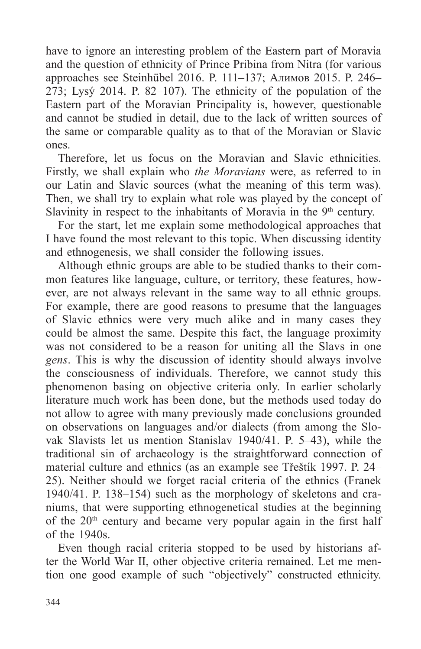have to ignore an interesting problem of the Eastern part of Moravia and the question of ethnicity of Prince Pribina from Nitra (for various approaches see Steinhübel 2016. P. 111–137; Алимов 2015. P. 246– 273; Lysý 2014. P. 82–107). The ethnicity of the population of the Eastern part of the Moravian Principality is, however, questionable and cannot be studied in detail, due to the lack of written sources of the same or comparable quality as to that of the Moravian or Slavic ones.

Therefore, let us focus on the Moravian and Slavic ethnicities. Firstly, we shall explain who *the Moravians* were, as referred to in our Latin and Slavic sources (what the meaning of this term was). Then, we shall try to explain what role was played by the concept of Slavinity in respect to the inhabitants of Moravia in the  $9<sup>th</sup>$  century.

For the start, let me explain some methodological approaches that I have found the most relevant to this topic. When discussing identity and ethnogenesis, we shall consider the following issues.

Although ethnic groups are able to be studied thanks to their common features like language, culture, or territory, these features, however, are not always relevant in the same way to all ethnic groups. For example, there are good reasons to presume that the languages of Slavic ethnics were very much alike and in many cases they could be almost the same. Despite this fact, the language proximity was not considered to be a reason for uniting all the Slavs in one *gens*. This is why the discussion of identity should always involve the consciousness of individuals. Therefore, we cannot study this phenomenon basing on objective criteria only. In earlier scholarly literature much work has been done, but the methods used today do not allow to agree with many previously made conclusions grounded on observations on languages and/or dialects (from among the Slovak Slavists let us mention Stanislav 1940/41. P. 5–43), while the traditional sin of archaeology is the straightforward connection of material culture and ethnics (as an example see Třeštík 1997. P. 24– 25). Neither should we forget racial criteria of the ethnics (Franek 1940/41. P. 138–154) such as the morphology of skeletons and craniums, that were supporting ethnogenetical studies at the beginning of the  $20<sup>th</sup>$  century and became very popular again in the first half of the 1940s.

Even though racial criteria stopped to be used by historians after the World War II, other objective criteria remained. Let me mention one good example of such "objectively" constructed ethnicity.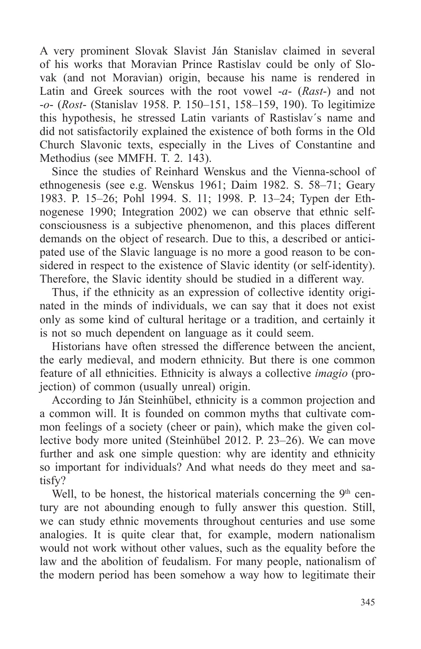A very prominent Slovak Slavist Ján Stanislav claimed in several of his works that Moravian Prince Rastislav could be only of Slovak (and not Moravian) origin, because his name is rendered in Latin and Greek sources with the root vowel -*a*- (*Rast*-) and not -*o*- (*Rost*- (Stanislav 1958. P. 150–151, 158–159, 190). To legitimize this hypothesis, he stressed Latin variants of Rastislav´s name and did not satisfactorily explained the existence of both forms in the Old Church Slavonic texts, especially in the Lives of Constantine and Methodius (see MMFH. T. 2. 143).

Since the studies of Reinhard Wenskus and the Vienna-school of ethnogenesis (see e.g. Wenskus 1961; Daim 1982. S. 58–71; Geary 1983. P. 15–26; Pohl 1994. S. 11; 1998. P. 13–24; Typen der Ethnogenese 1990; Integration 2002) we can observe that ethnic selfconsciousness is a subjective phenomenon, and this places different demands on the object of research. Due to this, a described or anticipated use of the Slavic language is no more a good reason to be considered in respect to the existence of Slavic identity (or self-identity). Therefore, the Slavic identity should be studied in a different way.

Thus, if the ethnicity as an expression of collective identity originated in the minds of individuals, we can say that it does not exist only as some kind of cultural heritage or a tradition, and certainly it is not so much dependent on language as it could seem.

Historians have often stressed the difference between the ancient, the early medieval, and modern ethnicity. But there is one common feature of all ethnicities. Ethnicity is always a collective *imagio* (projection) of common (usually unreal) origin.

According to Ján Steinhübel, ethnicity is a common projection and a common will. It is founded on common myths that cultivate common feelings of a society (cheer or pain), which make the given collective body more united (Steinhübel 2012. P. 23–26). We can move further and ask one simple question: why are identity and ethnicity so important for individuals? And what needs do they meet and satisfy?

Well, to be honest, the historical materials concerning the  $9<sup>th</sup>$  century are not abounding enough to fully answer this question. Still, we can study ethnic movements throughout centuries and use some analogies. It is quite clear that, for example, modern nationalism would not work without other values, such as the equality before the law and the abolition of feudalism. For many people, nationalism of the modern period has been somehow a way how to legitimate their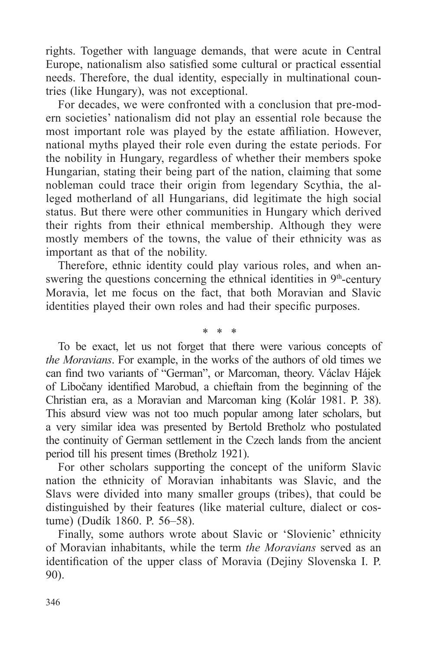rights. Together with language demands, that were acute in Central Europe, nationalism also satisfied some cultural or practical essential needs. Therefore, the dual identity, especially in multinational countries (like Hungary), was not exceptional.

For decades, we were confronted with a conclusion that pre-modern societies' nationalism did not play an essential role because the most important role was played by the estate affiliation. However, national myths played their role even during the estate periods. For the nobility in Hungary, regardless of whether their members spoke Hungarian, stating their being part of the nation, claiming that some nobleman could trace their origin from legendary Scythia, the alleged motherland of all Hungarians, did legitimate the high social status. But there were other communities in Hungary which derived their rights from their ethnical membership. Although they were mostly members of the towns, the value of their ethnicity was as important as that of the nobility.

Therefore, ethnic identity could play various roles, and when answering the questions concerning the ethnical identities in  $9<sup>th</sup>$ -century Moravia, let me focus on the fact, that both Moravian and Slavic identities played their own roles and had their specific purposes.

\* \* \*

To be exact, let us not forget that there were various concepts of *the Moravians*. For example, in the works of the authors of old times we can find two variants of "German", or Marcoman, theory. Václav Hájek of Libočany identified Marobud, a chieftain from the beginning of the Christian era, as a Moravian and Marcoman king (Kolár 1981. P. 38). This absurd view was not too much popular among later scholars, but a very similar idea was presented by Bertold Bretholz who postulated the continuity of German settlement in the Czech lands from the ancient period till his present times (Bretholz 1921).

For other scholars supporting the concept of the uniform Slavic nation the ethnicity of Moravian inhabitants was Slavic, and the Slavs were divided into many smaller groups (tribes), that could be distinguished by their features (like material culture, dialect or costume) (Dudík 1860. P. 56–58).

Finally, some authors wrote about Slavic or 'Slovienic' ethnicity of Moravian inhabitants, while the term *the Moravians* served as an identification of the upper class of Moravia (Dejiny Slovenska I. P. 90).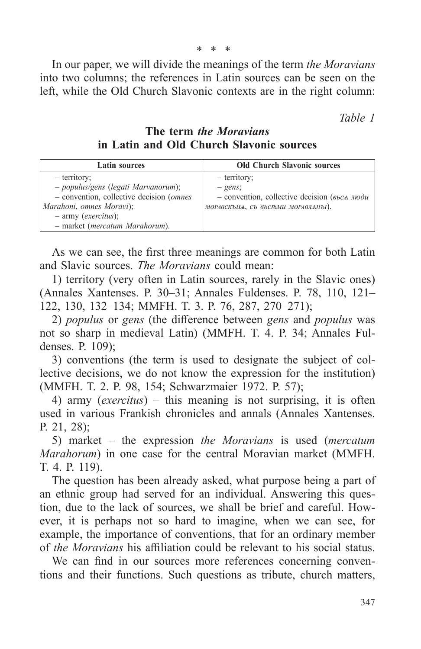In our paper, we will divide the meanings of the term *the Moravians* into two columns; the references in Latin sources can be seen on the left, while the Old Church Slavonic contexts are in the right column:

*Table 1*

**The term** *the Moravians* **in Latin and Old Church Slavonic sources**

| <b>Latin sources</b>                      | <b>Old Church Slavonic sources</b>                   |
|-------------------------------------------|------------------------------------------------------|
| - territory;                              | - territory;                                         |
| - populus/gens (legati Marvanorum);       | $- gens$ ;                                           |
| - convention, collective decision (omnes) | $-$ convention, collective decision ( $66cA$ $1100u$ |
| Marahoni, omnes Moravi);                  | морлвскым, съ выстьми морлвланы).                    |
| $-$ army ( <i>exercitus</i> );            |                                                      |
| - market (mercatum Marahorum).            |                                                      |

As we can see, the first three meanings are common for both Latin and Slavic sources. *The Moravians* could mean:

1) territory (very often in Latin sources, rarely in the Slavic ones) (Annales Xantenses. P. 30–31; Annales Fuldenses. P. 78, 110, 121– 122, 130, 132–134; MMFH. T. 3. P. 76, 287, 270–271);

2) *populus* or *gens* (the difference between *gens* and *populus* was not so sharp in medieval Latin) (MMFH. T. 4. P. 34; Annales Fuldenses. P. 109);

3) conventions (the term is used to designate the subject of collective decisions, we do not know the expression for the institution) (MMFH. T. 2. P. 98, 154; Schwarzmaier 1972. P. 57);

4) army (*exercitus*) – this meaning is not surprising, it is often used in various Frankish chronicles and annals (Annales Xantenses. P. 21, 28);

5) market – the expression *the Moravians* is used (*mercatum Marahorum*) in one case for the central Moravian market (MMFH. T. 4. P. 119).

The question has been already asked, what purpose being a part of an ethnic group had served for an individual. Answering this question, due to the lack of sources, we shall be brief and careful. However, it is perhaps not so hard to imagine, when we can see, for example, the importance of conventions, that for an ordinary member of *the Moravians* his affiliation could be relevant to his social status.

We can find in our sources more references concerning conventions and their functions. Such questions as tribute, church matters,

\* \* \*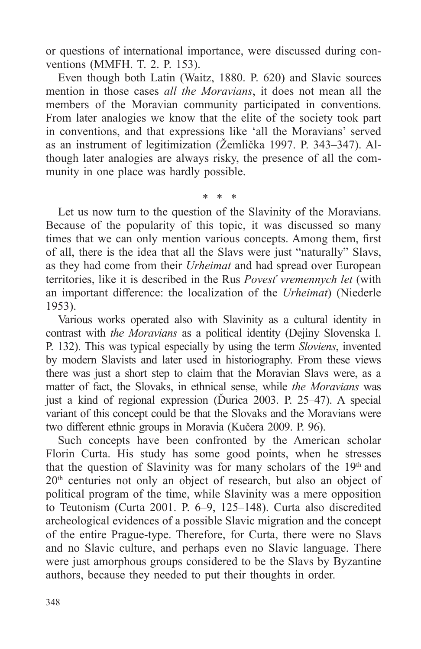or questions of international importance, were discussed during conventions (MMFH. T. 2. P. 153).

Even though both Latin (Waitz, 1880. P. 620) and Slavic sources mention in those cases *all the Moravians*, it does not mean all the members of the Moravian community participated in conventions. From later analogies we know that the elite of the society took part in conventions, and that expressions like 'all the Moravians' served as an instrument of legitimization (Žemlička 1997. P. 343–347). Although later analogies are always risky, the presence of all the community in one place was hardly possible.

\* \* \* Let us now turn to the question of the Slavinity of the Moravians. Because of the popularity of this topic, it was discussed so many times that we can only mention various concepts. Among them, first of all, there is the idea that all the Slavs were just "naturally" Slavs, as they had come from their *Urheimat* and had spread over European territories, like it is described in the Rus *Povesť vremennych let* (with an important difference: the localization of the *Urheimat*) (Niederle 1953).

Various works operated also with Slavinity as a cultural identity in contrast with *the Moravians* as a political identity (Dejiny Slovenska I. P. 132). This was typical especially by using the term *Sloviens*, invented by modern Slavists and later used in historiography. From these views there was just a short step to claim that the Moravian Slavs were, as a matter of fact, the Slovaks, in ethnical sense, while *the Moravians* was just a kind of regional expression (Ďurica 2003. P. 25–47). A special variant of this concept could be that the Slovaks and the Moravians were two different ethnic groups in Moravia (Kučera 2009. P. 96).

Such concepts have been confronted by the American scholar Florin Curta. His study has some good points, when he stresses that the question of Slavinity was for many scholars of the 19th and 20<sup>th</sup> centuries not only an object of research, but also an object of political program of the time, while Slavinity was a mere opposition to Teutonism (Curta 2001. P. 6–9, 125–148). Curta also discredited archeological evidences of a possible Slavic migration and the concept of the entire Prague-type. Therefore, for Curta, there were no Slavs and no Slavic culture, and perhaps even no Slavic language. There were just amorphous groups considered to be the Slavs by Byzantine authors, because they needed to put their thoughts in order.

348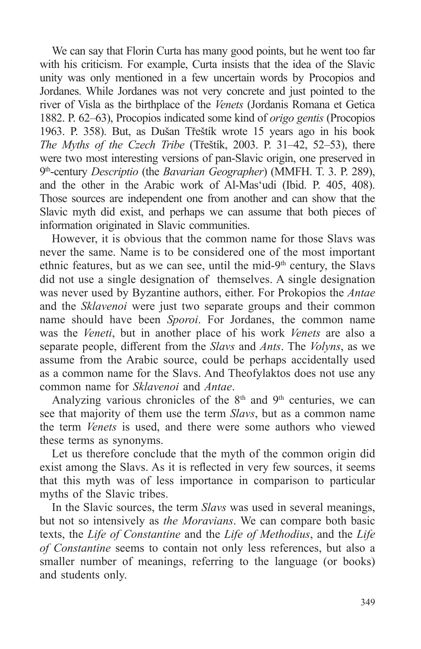We can say that Florin Curta has many good points, but he went too far with his criticism. For example, Curta insists that the idea of the Slavic unity was only mentioned in a few uncertain words by Procopios and Jordanes. While Jordanes was not very concrete and just pointed to the river of Visla as the birthplace of the *Venets* (Jordanis Romana et Getica 1882. P. 62–63), Procopios indicated some kind of *origo gentis* (Procopios 1963. P. 358). But, as Dušan Třeštík wrote 15 years ago in his book *The Myths of the Czech Tribe* (Třeštík, 2003. P. 31–42, 52–53), there were two most interesting versions of pan-Slavic origin, one preserved in 9th-century *Descriptio* (the *Bavarian Geographer*) (MMFH. T. 3. P. 289), and the other in the Arabic work of Al-Mas'udi (Ibid. P. 405, 408). Thоse sources are independent one from another and can show that the Slavic myth did exist, and perhaps we can assume that both pieces of information originated in Slavic communities.

However, it is obvious that the common name for those Slavs was never the same. Name is to be considered one of the most important ethnic features, but as we can see, until the mid- $9<sup>th</sup>$  century, the Slavs did not use a single designation of themselves. A single designation was never used by Byzantine authors, either. For Prokopios the *Antae* and the *Sklavenoi* were just two separate groups and their common name should have been *Sporoi*. For Jordanes, the common name was the *Veneti*, but in another place of his work *Venets* are also a separate people, different from the *Slavs* and *Ants*. The *Volyns*, as we assume from the Arabic source, could be perhaps accidentally used as a common name for the Slavs. And Theofylaktos does not use any common name for *Sklavenoi* and *Antae*.

Analyzing various chronicles of the  $8<sup>th</sup>$  and  $9<sup>th</sup>$  centuries, we can see that majority of them use the term *Slavs*, but as a common name the term *Venets* is used, and there were some authors who viewed these terms as synonyms.

Let us therefore conclude that the myth of the common origin did exist among the Slavs. As it is reflected in very few sources, it seems that this myth was of less importance in comparison to particular myths of the Slavic tribes.

In the Slavic sources, the term *Slavs* was used in several meanings, but not so intensively as *the Moravians*. We can compare both basic texts, the *Life of Constantine* and the *Life of Methodius*, and the *Life of Constantine* seems to contain not only less references, but also a smaller number of meanings, referring to the language (or books) and students only.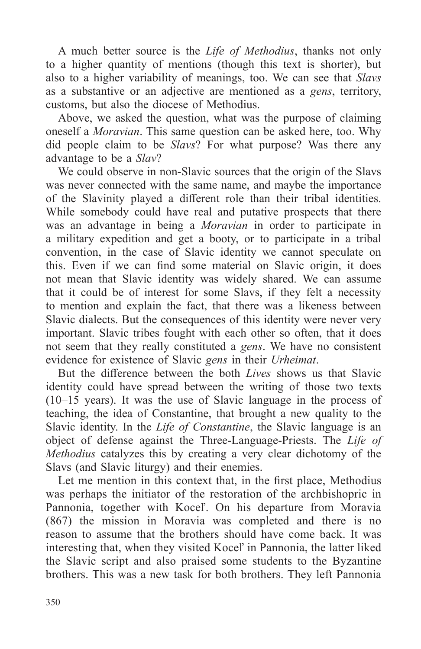A much better source is the *Life of Methodius*, thanks not only to a higher quantity of mentions (though this text is shorter), but also to a higher variability of meanings, too. We can see that *Slavs* as a substantive or an adjective are mentioned as a *gens*, territory, customs, but also the diocese of Methodius.

Above, we asked the question, what was the purpose of claiming oneself a *Moravian*. This same question can be asked here, too. Why did people claim to be *Slavs*? For what purpose? Was there any advantage to be a *Slav*?

We could observe in non-Slavic sources that the origin of the Slavs was never connected with the same name, and maybe the importance of the Slavinity played a different role than their tribal identities. While somebody could have real and putative prospects that there was an advantage in being a *Moravian* in order to participate in a military expedition and get a booty, or to participate in a tribal convention, in the case of Slavic identity we cannot speculate on this. Even if we can find some material on Slavic origin, it does not mean that Slavic identity was widely shared. We can assume that it could be of interest for some Slavs, if they felt a necessity to mention and explain the fact, that there was a likeness between Slavic dialects. But the consequences of this identity were never very important. Slavic tribes fought with each other so often, that it does not seem that they really constituted a *gens*. We have no consistent evidence for existence of Slavic *gens* in their *Urheimat*.

But the difference between the both *Lives* shows us that Slavic identity could have spread between the writing of those two texts (10–15 years). It was the use of Slavic language in the process of teaching, the idea of Constantine, that brought a new quality to the Slavic identity. In the *Life of Constantine*, the Slavic language is an object of defense against the Three-Language-Priests. The *Life of Methodius* catalyzes this by creating a very clear dichotomy of the Slavs (and Slavic liturgy) and their enemies.

Let me mention in this context that, in the first place, Methodius was perhaps the initiator of the restoration of the archbishopric in Pannonia, together with Koceľ. On his departure from Moravia (867) the mission in Moravia was completed and there is no reason to assume that the brothers should have come back. It was interesting that, when they visited Koceľ in Pannonia, the latter liked the Slavic script and also praised some students to the Byzantine brothers. This was a new task for both brothers. They left Pannonia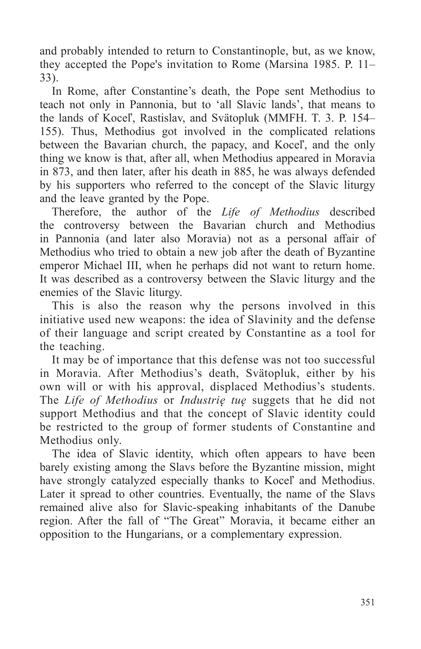and probably intended to return to Constantinople, but, as we know, they accepted the Pope's invitation to Rome (Marsina 1985. P. 11– 33).

In Rome, after Constantine's death, the Pope sent Methodius to teach not only in Pannonia, but to 'all Slavic lands', that means to the lands of Koceľ, Rastislav, and Svätopluk (MMFH. T. 3. P. 154– 155). Thus, Methodius got involved in the complicated relations between the Bavarian church, the papacy, and Koceľ, and the only thing we know is that, after all, when Methodius appeared in Moravia in 873, and then later, after his death in 885, he was always defended by his supporters who referred to the concept of the Slavic liturgy and the leave granted by the Pope.

Therefore, the author of the *Life of Methodius* described the controversy between the Bavarian church and Methodius in Pannonia (and later also Moravia) not as a personal affair of Methodius who tried to obtain a new job after the death of Byzantine emperor Michael III, when he perhaps did not want to return home. It was described as a controversy between the Slavic liturgy and the enemies of the Slavic liturgy.

This is also the reason why the persons involved in this initiative used new weapons: the idea of Slavinity and the defense of their language and script created by Constantine as a tool for the teaching.

It may be of importance that this defense was not too successful in Moravia. After Methodius's death, Svätopluk, either by his own will or with his approval, displaced Methodius's students. The *Life of Methodius* or *Industrię tuę* suggets that he did not support Methodius and that the concept of Slavic identity could be restricted to the group of former students of Constantine and Methodius only.

The idea of Slavic identity, which often appears to have been barely existing among the Slavs before the Byzantine mission, might have strongly catalyzed especially thanks to Koceľ and Methodius. Later it spread to other countries. Eventually, the name of the Slavs remained alive also for Slavic-speaking inhabitants of the Danube region. After the fall of "The Great" Moravia, it became either an opposition to the Hungarians, or a complementary expression.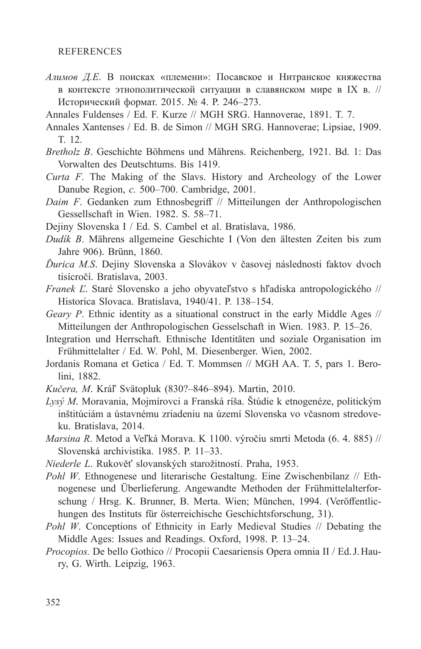## REFERENCES

- *Алимов Д.Е*. В поисках «племени»: Посавское и Нитранское княжества в контексте этнополитической ситуации в славянском мире в IX в. // Исторический формат. 2015. № 4. P. 246–273.
- Annales Fuldenses / Ed. F. Kurze // MGH SRG. Hannoverae, 1891. T. 7.
- Annales Xantenses / Ed. B. de Simon // MGH SRG. Hannoverae; Lipsiae, 1909. T. 12.
- *Bretholz B*. Geschichte Böhmens und Mährens. Reichenberg, 1921. Bd. 1: Das Vorwalten des Deutschtums. Bis 1419.
- *Curta F*. The Making of the Slavs. History and Archeology of the Lower Danube Region, *c.* 500–700. Cambridge, 2001.
- *Daim F*. Gedanken zum Ethnosbegriff // Mitteilungen der Anthropologischen Gessellschaft in Wien. 1982. S. 58–71.
- Dejiny Slovenska I / Ed. S. Cambel et al. Bratislava, 1986.
- *Dudík B*. Mährens allgemeine Geschichte I (Von den ältesten Zeiten bis zum Jahre 906). Brünn, 1860.
- *Ďurica M.S*. Dejiny Slovenska a Slovákov v časovej následnosti faktov dvoch tisícročí. Bratislava, 2003.
- *Franek Ľ*. Staré Slovensko a jeho obyvateľstvo s hľadiska antropologického // Historica Slovaca. Bratislava, 1940/41. P. 138–154.
- *Geary P*. Ethnic identity as a situational construct in the early Middle Ages // Mitteilungen der Anthropologischen Gesselschaft in Wien. 1983. P. 15–26.
- Integration und Herrschaft. Ethnische Identitäten und soziale Organisation im Frühmittelalter / Ed. W. Pohl, M. Diesenberger. Wien, 2002.
- Jordanis Romana et Getica / Ed. T. Mommsen // MGH AA. T. 5, pars 1. Berolini, 1882.
- *Kučera, M*. Kráľ Svätopluk (830?–846–894). Martin, 2010.
- *Lysý M*. Moravania, Mojmírovci a Franská ríša. Štúdie k etnogenéze, politickým inštitúciám a ústavnému zriadeniu na území Slovenska vo včasnom stredoveku. Bratislava, 2014.
- *Marsina R*. Metod a Veľká Morava. K 1100. výročiu smrti Metoda (6. 4. 885) // Slovenská archivistika. 1985. P. 11–33.
- *Niederle L*. Rukověť slovanských starožitností. Praha, 1953.
- *Pohl W*. Ethnogenese und literarische Gestaltung. Eine Zwischenbilanz // Ethnogenese und Überlieferung. Angewandte Methoden der Frühmittelalterforschung / Hrsg. K. Brunner, B. Merta. Wien; München, 1994. (Veröffentlichungen des Instituts für österreichische Geschichtsforschung, 31).
- *Pohl W*. Conceptions of Ethnicity in Early Medieval Studies // Debating the Middle Ages: Issues and Readings. Oxford, 1998. P. 13–24.
- *Procopios.* De bello Gothico // Procopii Caesariensis Opera omnia II / Ed.J.Haury, G. Wirth. Leipzig, 1963.